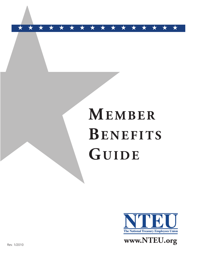# **MEMBER BENEF ITS GUIDE**

★ ★ ★ ★ ★ ★ ★ ★ ★ ★ ★ ★ ★ ★ ★ ★



Rev. 1/2010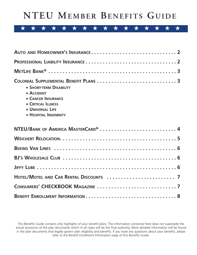# **NTEU MEMBER BENEF ITS GUIDE**

## ★ ★ ★ ★ ★ ★ ★ ★ ★ ★ ★ ★ ★ ★ ★ ★

| <b>+ SHORT-TERM DISABILITY</b><br>$\triangle$ ACCIDENT<br><b>CANCER INSURANCE</b><br><b>CRITICAL ILLNESS</b><br><b>+ UNIVERSAL LIFE</b><br><b>+ HOSPITAL INDEMNITY</b> |
|------------------------------------------------------------------------------------------------------------------------------------------------------------------------|
|                                                                                                                                                                        |
|                                                                                                                                                                        |
|                                                                                                                                                                        |
|                                                                                                                                                                        |
|                                                                                                                                                                        |
|                                                                                                                                                                        |
|                                                                                                                                                                        |
|                                                                                                                                                                        |

This Benefits Guide contains only highlights of your benefit plans. The information contained here does not supersede the actual provisions of the plan documents which in all cases will be the final authority. More detailed information will be found in the plan documents that legally govern plan eligibility and benefits. If you have any questions about your benefits, please refer to the Benefit Enrollment Information page of this Benefits Guide.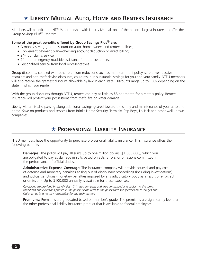Members will benefit from NTEU's partnership with Liberty Mutual, one of the nation's largest insurers, to offer the Group Savings Plus® Program.

#### **Some of the great benefits offered by Group Savings Plus® are:**

- ◆ A money-saving group discount on auto, homeowners and renters policies;
- ◆ Convenient payment plan—checking account deduction or direct billing;
- ◆ 24-hour claims service;
- ◆ 24-hour emergency roadside assistance for auto customers;
- ◆ Personalized service from local representatives.

Group discounts, coupled with other premium reductions such as multi-car, multi-policy, safe driver, passive restraints and anti-theft device discounts, could result in substantial savings for you and your family. NTEU members will also receive the greatest discount allowable by law in each state. Discounts range up to 10% depending on the state in which you reside.

With the group discounts through NTEU, renters can pay as little as \$8 per month for a renters policy. Renters insurance will protect your possessions from theft, fire or water damage.

Liberty Mutual is also passing along additional savings geared toward the safety and maintenance of your auto and home. Save on products and services from Brinks Home Security, Terminix, Pep Boys, Lo Jack and other well-known companies.

### ★ **PROFESSIONAL LIABILITY INSURANCE**

NTEU members have the opportunity to purchase professional liability insurance. This insurance offers the following benefits:

**Damages:** The policy will pay all sums up to one million dollars (\$1,000,000), which you are obligated to pay as damage in suits based on acts, errors, or omissions committed in the performance of official duties.

**Administrative Expense Coverage:** The insurance company will provide counsel and pay cost of defense and monetary penalties arising out of disciplinary proceedings (including investigations) and judicial sanctions (monetary penalties imposed by any adjudicatory body as a result of error, act or omission). Up to \$100,000 annually is available for these expenses.

Coverages are provided by an AM Best "A" rated company and are summarized and subject to the terms, conditions and exclusions printed in the policy. Please refer to the policy form for specifics on coverages and *limits. NTEU is in no way responsible for any such matters.*

**Premiums:** Premiums are graduated based on member's grade. The premiums are significantly less than the other professional liability insurance product that is available to federal employees.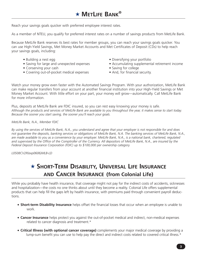Reach your savings goals quicker with preferred employee interest rates.

As a member of NTEU, you qualify for preferred interest rates on a number of savings products from MetLife Bank.

Because MetLife Bank reserves its best rates for member groups, you can reach your savings goals quicker. You can use High-Yield Savings, Met Money Market Accounts and Met Certificates of Deposit (CDs) to help reach your savings goals, including:

- 
- Building a nest egg variation of the Saving your portfolio<br>• Saving for large and unexpected expenses variable accumulating supplement
- Conserving your cash Saving for college
- Covering out-of-pocket medical expenses And, for financial security.
- 
- Accumulating supplemental retirement income
- -

Watch your money grow even faster with the Automated Savings Program. With your authorization, MetLife Bank can make regular transfers from your account at another financial institution into your High-Yield Savings or Met Money Market Account. With little effort on your part, your money will grow—automatically. Call MetLife Bank for more information.

Plus, deposits at MetLife Bank are FDIC insured, so you can rest easy knowing your money is safe. Although the products and services of MetLife Bank are available to you throughout the year, it makes sense to start today. *Because the sooner you start saving, the sooner you'll reach your goals.*

#### *MetLife Bank, N.A., Member FDIC*

By using the services of MetLife Bank, N.A., you understand and agree that your employer is not responsible for and does not quarantee the deposits, banking services or obligations of MetLife Bank, N.A. The banking services of MetLife Bank, N.A., are made available to you as a convenience by your employer. MetLife Bank, N.A., is a national bank, chartered, regulated and supervised by the Office of the Comptroller of the Currency. All depositors of MetLife Bank, N.A., are insured by the *Federal Deposit Insurance Corporation (FDIC) up to \$100,000 per ownership category.*

*L0508CV2R(exp0606)MLB-LD*

### ★ **SHORT-TERM DISABILITY, UNIVERSAL LIFE INSURANCE AND CANCER INSURANCE (from Colonial Life)**

While you probably have health insurance, that coverage might not pay for the indirect costs of accidents, sicknesses and hospitalization—the costs no one thinks about until they become a reality. Colonial Life offers supplemental products that can help fill the gaps left by health insurance, with premiums paid through convenient payroll deductions.

- ◆ **Short-term Disability Insurance** helps offset the financial losses that occur when an employee is unable to work.
- ◆ **Cancer Insurance** helps protect you against the out-of-pocket medical and indirect, non-medical expenses related to cancer diagnosis and treatment.\*
- ◆ **Critical Illness (with optional cancer coverage)** complements your major medical coverage by providing a lump-sum benefit you can use to help pay the direct and indirect costs related to covered critical illness.\*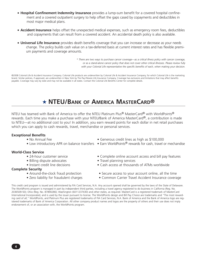- ◆ **Hospital Confinement Indemnity Insurance** provides a lump-sum benefit for a covered hospital confinement and a covered outpatient surgery to help offset the gaps cased by copayments and deductibles in most major medical plans.
- ◆ **Accident Insurance** helps offset the unexpected medical expenses, such as emergency room fees, deductibles and copayments that can result from a covered accident. An accidental death policy is also available.
- ◆ **Universal Life Insurance** provides death benefits coverage that you can increase or decrease as your needs change. The policy builds cash value on a tax-deferred basis at current interest rates and has flexible premium payments and coverage amounts.

*\* There are two ways to purchase cancer coverage—as a critical illness policy with cancer coverage, or as a stand-alone cancer policy that does not cover other critical illnesses. Please review fully with your Colonial Life representative the specific benefits of each, when making your decision.*

©2008 Colonial Life & Accident Insurance Company. Colonial Life products are underwritten by Colonial Life & Accident Insurance Company, for which Colonial Life is the marketing brand. Similar policies, if approved, are underwritten in New York by The Paul Revere Life Insurance Company. Coverage has exclusions and limitations that may affect benefits payable. Coverage may vary by state and may not be available in all states. Contact the Colonial Life Benefits Center for complete details.

### ★ **NTEU/BANK OF AMERICA MASTERCARD®**

NTEU has teamed with Bank of America to offer the NTEU Platinum Plus® MasterCard® with WorldPoints® rewards. Each time you make a purchase with your NTEU/Bank of America MasterCard®, a contribution is made to NTEU—at no additional cost to you! In addition, you earn reward points for each dollar in net retail purchases which you can apply to cash rewards, travel, merchandise or personal services.

#### **Exceptional Benefits**

- 
- 

#### **World-Class Service**

- 
- Billing dispute advocates Travel planning services
- 

#### **Complete Security**

- 
- 
- No Annual Fee Generous credit lines as high as \$100,000
- Low introductory APR on balance transfers Earn WorldPoints® rewards for cash, travel or mechandise
- 24-hour customer service Complete online account access and bill pay features
	-
- Instant credit line decisions Cash access at thousands of ATMs worldwide
- Around-the-clock fraud protection Secure access to your account online, all the time
- Zero liability for fraudulent charges Common Carrier Travel Accident Insurance coverage

This credit card program is issued and administered by FIA Card Services, N.A. Any account opened shall be governed by the laws of the State of Delaware. The WorldPoints program is managed in part by independent third parties, including a travel agency registered to do business in California (Reg. No. 2036509-50); Ohio (Reg. No. 87890286); Washington (6011237430) and other states, as required. MasterCard is a registered trademark of MasterCard International Incorporated, and is used by the issuer pursuant to license. The WorldPoints design and Bill Pay Choice are trademarks and "The most rewarding card of all," WorldPoints, and Platinum Plus are registered trademarks of FIA Card Services, N.A. Bank of America and the Bank of America logo are registered trademarks of Bank of America Corporation. All other company product names and logos are the property of others and their use does not imply endorsement of, or an association with, the WorldPoints program.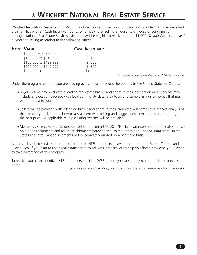# ★ **WEICHERT NATIONAL REAL ESTATE SERVICE**

Weichert Relocation Resources, Inc. (WRRI), a global relocation services company, will provide NTEU members and their families with a "Cash Incentive" bonus when buying or selling a house, townhouse or condominium through National Real Estate Services. Members will be eligible to receive up to a \$1,000–\$2,000 Cash Incentive if buying and selling according to the following criteria:

| <b>HOME VALUE</b>      | <b>CASH INCENTIVE*</b> |
|------------------------|------------------------|
| \$50,000 to \$99,999   | \$200                  |
| \$100,000 to \$149,999 | \$400                  |
| \$150,000 to \$199,999 | \$600                  |
| \$200,000 to \$249,999 | \$ 800                 |
| $$250,000 +$           | \$1,000                |

*\*Cash Incentive may be modified or prohibited in some states.*

Under the program, whether you are moving across town or across the country in the United States or Canada:

- ◆ Buyers will be provided with a leading real estate broker and agent in their destination area. Services may include a relocation package with local community data, area tours and sample listings of homes that may be of interest to you.
- ◆ Sellers will be provided with a leading broker and agent in their area who will complete a market analysis of their property to determine how to assist them with pricing and suggestions to market their home to get the best price. All applicable multiple listing systems will be provided.
- ◆ Members will receive a 50% discount off of the current USDOT "N" Tariff on interstate United States household goods shipments and for those shipments between the United States and Canada. Intra-state United States and intra-Canada shipments will be separately quoted on a per-move basis.

All these described services are offered fee-free to NTEU members anywhere in the United States, Canada and Puerto Rico. If you plan to use a real estate agent to sell your property or to help you find a new one, you'll want to take advantage of this program.

To receive your cash incentive, NTEU members must call WRRI before you talk to any realtors to list or purchase a home.

*This program is not available in: Alaska, Idaho, Kansas, Kentucky, Nevada, New Jersey, Oklahoma or Oregon.*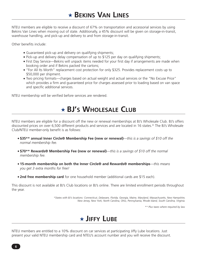NTEU members are eligible to receive a discount of 67% on transportation and accessorial services by using Bekins Van Lines when moving out of state. Additionally, a 45% discount will be given on storage-in-transit, warehouse handling, and pick-up and delivery to and from storage-in-transit.

Other benefits include:

- ◆ Guaranteed pick-up and delivery on qualifying shipments;
- ◆ Pick-up and delivery delay compensation of up to \$125 per day on qualifying shipments;
- ◆ First Day Service—Bekins will unpack items needed for your first day if arrangements are made when booking order and if Bekins packed the cartons;
- ◆ "For All Its Worth" replacement cost protection for only \$325. Provides replacement costs up to \$50,000 per shipment.
- ◆ Two pricing formats—charges based on actual weight and actual services or the "No Excuse Price" which provides a firm and guaranteed price for charges assessed prior to loading based on van space and specific additional services.

NTEU membership will be verified before services are rendered.

# ★ **BJ'S WHOLESALE CLUB**

NTEU members are eligible for a discount off the new or renewal memberships at BJ's Wholesale Club. BJ's offers discounted prices on over 6,500 different products and services and are located in 16 states.\* The BJ's Wholesale Club/NTEU member-only benefit is as follows:

- ◆ **\$35\*\* annual Inner Circle® Membership Fee (new or renewal)**—*this is a savings of \$10 off the normal membership fee.*
- ◆ **\$70\*\* Rewards® Membership Fee (new or renewal)**—*this is a savings of \$10 off the normal membership fee.*
- ◆ **15-month membership on both the Inner Circle® and Rewards® memberships**—*this means you get 3 extra months for free!*
- ◆ **2nd free membership card** for one household member (additional cards are \$15 each).

This discount is not available at BJ's Club locations or BJ's online. There are limited enrollment periods throughout the year.

> *\*States with BJ's locations: Connecticut, Delaware, Florida, Georgia, Maine, Maryland, Massachusetts, New Hampshire, New Jersey, New York, North Carolina, Ohio, Pennsylvania, Rhode Island, South Carolina, Virginia.*

> > *\*\* Plus taxes where required by law.*

# ★ **JIFFY LUBE**

NTEU members are entitled to a 10% discount on car services at participating Jiffy Lube locations. Just present your valid NTEU membership card and NTEU's account number and you will receive the discount.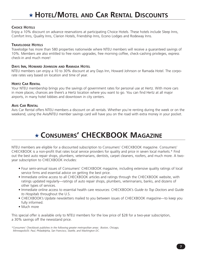### **CHOICE HOTELS**

Enjoy a 10% discount on advance reservations at participating Choice Hotels. These hotels include Sleep Inns, Comfort Inns, Quality Inns, Clarion Hotels, Friendship Inns, Econo Lodges and Rodeway Inns.

### **TRAVELODGE HOTELS**

Travelodge has more than 580 properties nationwide where NTEU members will receive a guaranteed savings of 10%. Members are also entitled to free room upgrades, free morning coffee, check-cashing privileges, express check-in and much more!

### **DAYS INN, HOWARD JOHNSON AND RAMADA HOTEL**

NTEU members can enjoy a 10 to 30% discount at any Days Inn, Howard Johnson or Ramada Hotel. The corporate rates vary based on location and time of year.

### **HERTZ CAR RENTAL**

Your NTEU membership brings you the savings of government rates for personal use at Hertz. With more cars in more places, chances are there's a Hertz location where you want to go. You can find Hertz at all major airports, in many hotel lobbies and downtown in city centers.

### **AVIS CAR RENTAL**

Avis Car Rental offers NTEU members a discount on all rentals. Whether you're renting during the week or on the weekend, using the Avis/NTEU member savings card will have you on the road with extra money in your pocket.

# ★ **CONSUMERS' CHECKBOOK MAGAZINE**

NTEU members are eligible for a discounted subscription to Consumers' CHECKBOOK magazine. Consumers' CHECKBOOK is a non-profit that rates local service providers for quality and price in seven local markets.\* Find out the best auto repair shops, plumbers, veterinarians, dentists, carpet cleaners, roofers, and much more. A twoyear subscription to CHECKBOOK includes:

- Four semi-annual issues of Consumers' CHECKBOOK magazine, including extensive quality ratings of local service firms and essential advice on getting the best price.
- Immediate online access to all CHECKBOOK articles and ratings through the CHECKBOOK website, with ratings updated regularly—ratings of auto repair shops, plumbers, veterinarians, banks, and dozens of other types of services.
- Immediate online access to essential health care resources: CHECKBOOK's *Guide to Top Doctors* and *Guide to Hospitals* throughout the U.S.
- CHECKBOOK's Update newsletters mailed to you between issues of CHECKBOOK magazine—to keep you fully informed.
- Much more

This special offer is available only to NTEU members for the low price of \$28 for a two-year subscription, a 30% savings off the newsstand price.

*<sup>\*</sup>Consumers' Checkbook publishes in the following greater metropolitan areas: Boston, Chicago, Minneapolis/St. Paul, Philadelphia, San Francisco, Seattle, and Washington DC.*